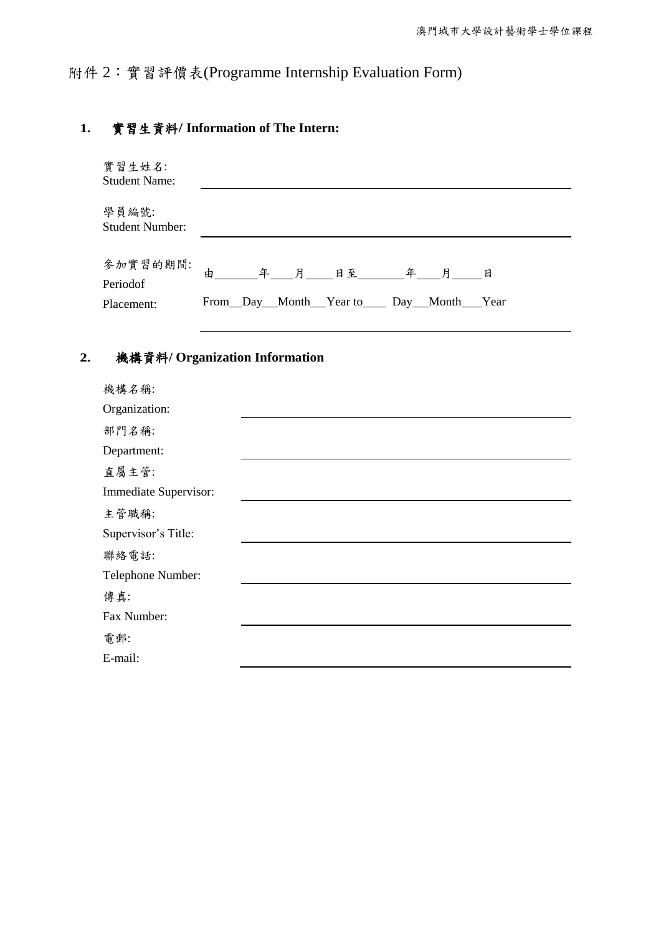# 附件 2:實習評價表(Programme Internship Evaluation Form)

### **1.** 實習生資料**/ Information of The Intern:**

| 學員編號:<br><b>Student Number:</b><br>參加實習的期間:<br>Periodof<br>From Day Month Year to Day Month Year<br>Placement:<br>機構資料/ Organization Information<br>機構名稱: | 實習生姓名:<br><b>Student Name:</b> |  |
|-----------------------------------------------------------------------------------------------------------------------------------------------------------|--------------------------------|--|
| 2.                                                                                                                                                        |                                |  |
|                                                                                                                                                           |                                |  |
|                                                                                                                                                           |                                |  |
|                                                                                                                                                           |                                |  |
|                                                                                                                                                           |                                |  |
|                                                                                                                                                           |                                |  |

| Organization:         |  |
|-----------------------|--|
| 部門名稱:                 |  |
| Department:           |  |
| 直屬主管:                 |  |
| Immediate Supervisor: |  |
| 主管職稱:                 |  |
| Supervisor's Title:   |  |
| 聯絡電話:                 |  |
| Telephone Number:     |  |
| 傳真:                   |  |
| Fax Number:           |  |
| 電郵:                   |  |
| E-mail:               |  |
|                       |  |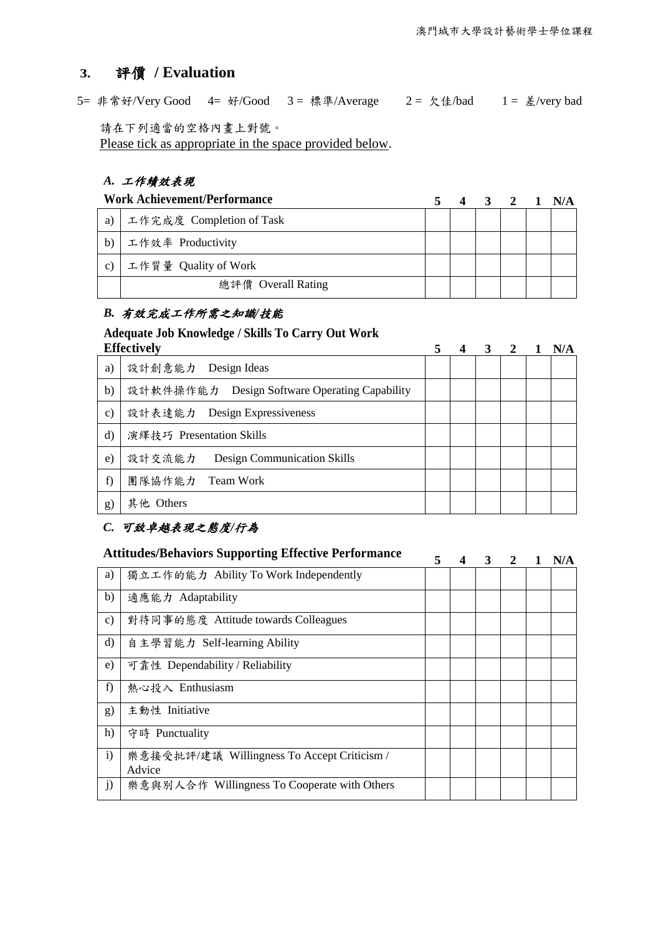# **3.** 評價 **/ Evaluation**

5= 非常好/Very Good 4= 好/Good 3 = 標準/Average 2 = 欠佳/bad 1 = 差/very bad

請在下列適當的空格內畫上對號。

Please tick as appropriate in the space provided below.

### *A.* 工作績效表現

| <b>Work Achievement/Performance</b> |                          |  | 3 2 1 N/A |  |
|-------------------------------------|--------------------------|--|-----------|--|
| a)                                  | 工作完成度 Completion of Task |  |           |  |
| b)                                  | 工作效率 Productivity        |  |           |  |
| $\mathcal{C}$ )                     | 工作質量 Quality of Work     |  |           |  |
|                                     | 總評價 Overall Rating       |  |           |  |

#### *B.* 有效完成工作所需之知識*/*技能

## **Adequate Job Knowledge / Skills To Carry Out Work**

| <b>Effectively</b> |                                               |  | $\mathbf{3}$ | $\overline{2}$ | N/A |
|--------------------|-----------------------------------------------|--|--------------|----------------|-----|
| a)                 | 設計創意能力 Design Ideas                           |  |              |                |     |
| b)                 | 設計軟件操作能力 Design Software Operating Capability |  |              |                |     |
| $\mathbf{c})$      | 設計表達能力 Design Expressiveness                  |  |              |                |     |
| $\rm d$            | 演繹技巧 Presentation Skills                      |  |              |                |     |
| $\epsilon$ )       | 設計交流能力<br>Design Communication Skills         |  |              |                |     |
| f)                 | 團隊協作能力<br>Team Work                           |  |              |                |     |
| g)                 | 其他 Others                                     |  |              |                |     |

#### *C.* 可致卓越表現之態度*/*行為

| <b>Attitudes/Behaviors Supporting Effective Performance</b> |                                                       | 5. | 3 | 2 | N/A |
|-------------------------------------------------------------|-------------------------------------------------------|----|---|---|-----|
| a)                                                          | 獨立工作的能力 Ability To Work Independently                 |    |   |   |     |
| b)                                                          | 適應能力 Adaptability                                     |    |   |   |     |
| $\mathbf{c})$                                               | 對待同事的態度 Attitude towards Colleagues                   |    |   |   |     |
| $\rm d$                                                     | 自主學習能力 Self-learning Ability                          |    |   |   |     |
| e)                                                          | 可靠性 Dependability / Reliability                       |    |   |   |     |
| f)                                                          | 熱心投入 Enthusiasm                                       |    |   |   |     |
| g)                                                          | 主動性 Initiative                                        |    |   |   |     |
| h)                                                          | 守時 Punctuality                                        |    |   |   |     |
| $\mathbf{i}$                                                | 樂意接受批評/建議 Willingness To Accept Criticism /<br>Advice |    |   |   |     |
| j)                                                          | 樂意與別人合作 Willingness To Cooperate with Others          |    |   |   |     |